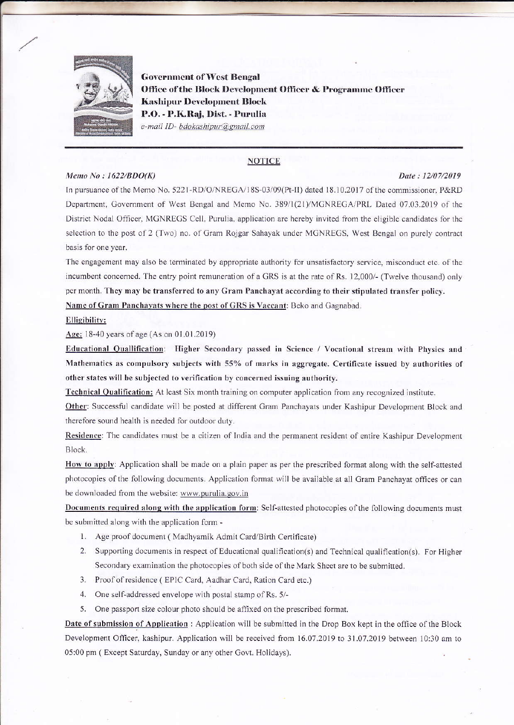

**Government of West Bengal** Office of the Block Development Officer & Programme Officer **Kashipur Development Block** P.O. - P.K.Raj, Dist. - Purulia e-mail ID- bdokashipur@gmail.com

### **NOTICE**

#### Memo No:  $1622/BDO(K)$

#### Date: 12/07/2019

In pursuance of the Memo No. 5221-RD/O/NREGA/18S-03/09(Pt-II) dated 18.10.2017 of the commissioner, P&RD Department, Government of West Bengal and Memo No. 389/1(21)/MGNREGA/PRL Dated 07.03.2019 of the District Nodal Officer, MGNREGS Cell, Purulia, application are hereby invited from the eligible candidates for the selection to the post of 2 (Two) no. of Gram Rojgar Sahayak under MGNREGS, West Bengal on purely contract basis for one year.

The engagement may also be terminated by appropriate authority for unsatisfactory service, misconduct etc. of the incumbent concerned. The entry point remuneration of a GRS is at the rate of Rs. 12,000/- (Twelve thousand) only per month. They may be transferred to any Gram Panchayat according to their stipulated transfer policy. Name of Gram Panchayats where the post of GRS is Vaccant: Beko and Gagnabad.

#### Elligibility:

#### Age: 18-40 years of age (As on 01.01.2019)

Educational Quallification: Higher Secondary passed in Science / Vocational stream with Physics and Mathematics as compulsory subjects with 55% of marks in aggregate. Certificate issued by authorities of other states will be subjected to verification by concerned issuing authority.

Technical Qualification: At least Six month training on computer application from any recognized institute.

Other: Successful candidate will be posted at different Gram Panchayats under Kashipur Development Block and therefore sound health is needed for outdoor duty.

Residence: The candidates must be a citizen of India and the permanent resident of entire Kashipur Development Block.

How to apply: Application shall be made on a plain paper as per the prescribed format along with the self-attested photocopies of the following documents. Application format will be available at all Gram Panchayat offices or can be downloaded from the website: www.purulia.gov.in

Documents required along with the application form: Self-attested photocopies of the following documents must be submitted along with the application form -

- 1. Age proof document (Madhyamik Admit Card/Birth Certificate)
- 2. Supporting documents in respect of Educational qualification(s) and Technical qualification(s). For Higher Secondary examination the photocopies of both side of the Mark Sheet are to be submitted.
- 3. Proof of residence (EPIC Card, Aadhar Card, Ration Card etc.)
- 4. One self-addressed envelope with postal stamp of Rs. 5/-
- 5. One passport size colour photo should be affixed on the prescribed format.

Date of submission of Application : Application will be submitted in the Drop Box kept in the office of the Block Development Officer, kashipur. Application will be received from 16.07.2019 to 31.07.2019 between 10:30 am to 05:00 pm (Except Saturday, Sunday or any other Govt. Holidays).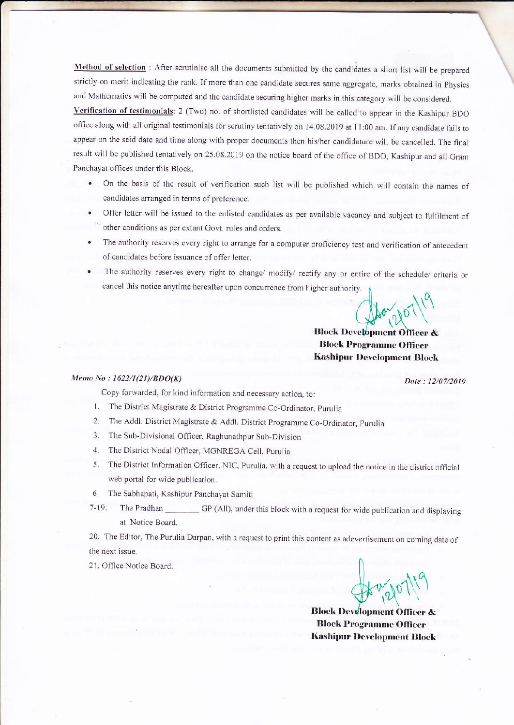Method of selection: After scrutinise all the documents submitted by the candidates a short list will be prepared strictly on merit indicating the rank. If more than one candidate secures same aggregate, marks obtained in Physics and Mathematics will be computed and the candidate securing higher marks in this category will be considered.

Verification of testimonials: 2 (Two) no. of shortlisted candidates will be called to appear in the Kashipur BDO office along with all original testimonials for scrutiny tentatively on 14.08.2019 at 11:00 am. If any candidate fails to appear on the said date and time along with proper documents then his/her candidature will be cancelled. The final result will be published tentatively on 25.08.2019 on the notice board of the office of BDO, Kashipur and all Gram Panchayat offices under this Block.

- On the basis of the result of verification such list will be published which will contain the names of candidates arranged in terms of preference.
- Offer letter will be issued to the enlisted candidates as per available vacancy and subject to fulfilment of other conditions as per extant Govt. rules and orders.
- The authority reserves every right to arrange for a computer proficiency test and verification of antecedent of candidates before issuance of offer letter.
- The authority reserves every right to change/ modify/ rectify any or entire of the schedule/ criteria or  $\bullet$ cancel this notice anytime hereafter upon concurrence from higher authority.

# **Block Development Officer & Block Programme Officer Kashipur Development Block**

#### Memo No: 1622/1(21)/BDO(K)

Date: 12/07/2019

Copy forwarded, for kind information and necessary action, to:

- 1. The District Magistrate & District Programme Co-Ordinator, Purulia
- The Addl. District Magistrate & Addl. District Programme Co-Ordinator, Purulia  $2.$
- The Sub-Divisional Officer, Raghunathpur Sub-Division  $3.$
- 4. The District Nodal Officer, MGNREGA Cell, Purulia
- The District Information Officer, NIC, Purulia, with a request to upload the notice in the district official 5. web portal for wide publication.
- The Sabhapati, Kashipur Panchayat Samiti 6.
- $7 19.$ The Pradhan GP (All), under this block with a request for wide publication and displaying at Notice Board.

20. The Editor, The Purulia Darpan, with a request to print this content as adevertisement on coming date of the next issue.

21. Office Notice Board.

**Block Development Officer & Block Programme Officer Kashipur Development Block**